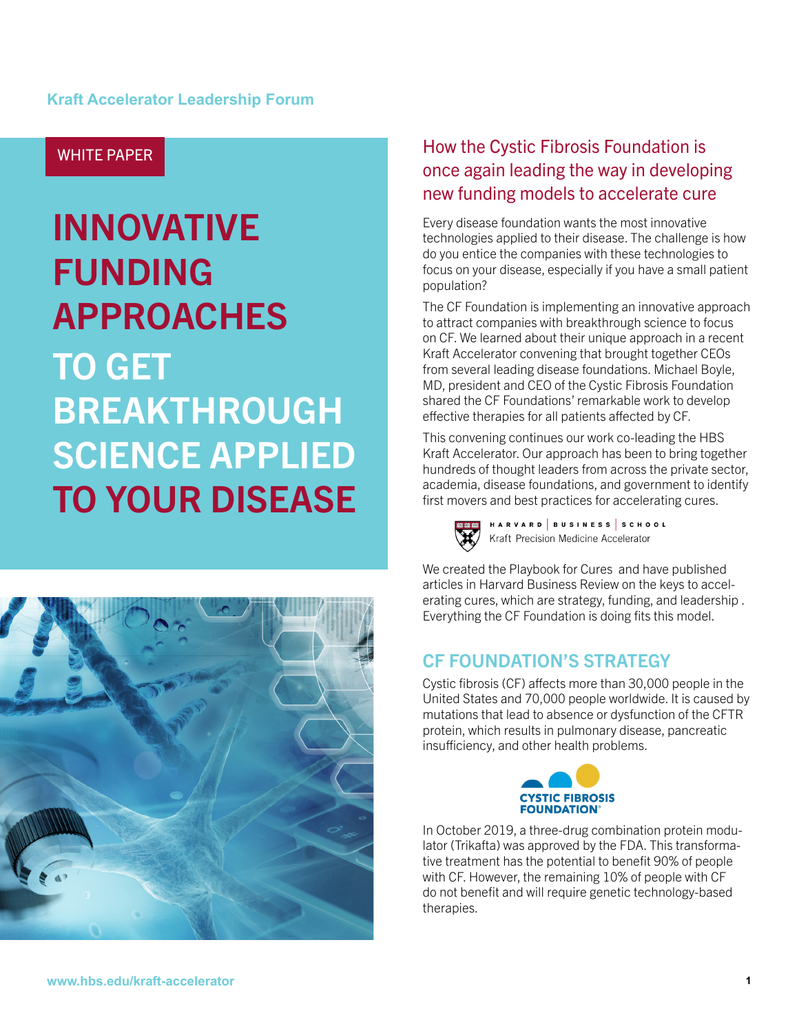### **Kraft Accelerator Leadership Forum**

### WHITE PAPER

INNOVATIVE FUNDING APPROACHES TO GET BREAKTHROUGH SCIENCE APPLIED TO YOUR DISEASE



## How the Cystic Fibrosis Foundation is once again leading the way in developing new funding models to accelerate cure

Every disease foundation wants the most innovative technologies applied to their disease. The challenge is how do you entice the companies with these technologies to focus on your disease, especially if you have a small patient population?

The CF Foundation is implementing an innovative approach to attract companies with breakthrough science to focus on CF. We learned about their unique approach in a recent Kraft Accelerator convening that brought together CEOs from several leading disease foundations. Michael Boyle, MD, president and CEO of the Cystic Fibrosis Foundation shared the CF Foundations' remarkable work to develop effective therapies for all patients affected by CF.

This convening continues our work co-leading the HBS Kraft Accelerator. Our approach has been to bring together hundreds of thought leaders from across the private sector, academia, disease foundations, and government to identify first movers and best practices for accelerating cures.



HARVARD BUSINESS SCHOOL Kraft Precision Medicine Accelerator

We created the Playbook for Cures and have published articles in Harvard Business Review on the keys to accelerating cures, which are strategy, funding, and leadership . Everything the CF Foundation is doing fits this model.

## CF FOUNDATION'S STRATEGY

Cystic fibrosis (CF) affects more than 30,000 people in the United States and 70,000 people worldwide. It is caused by mutations that lead to absence or dysfunction of the CFTR protein, which results in pulmonary disease, pancreatic insufficiency, and other health problems.



In October 2019, a three-drug combination protein modulator (Trikafta) was approved by the FDA. This transformative treatment has the potential to benefit 90% of people with CF. However, the remaining 10% of people with CF do not benefit and will require genetic technology-based therapies.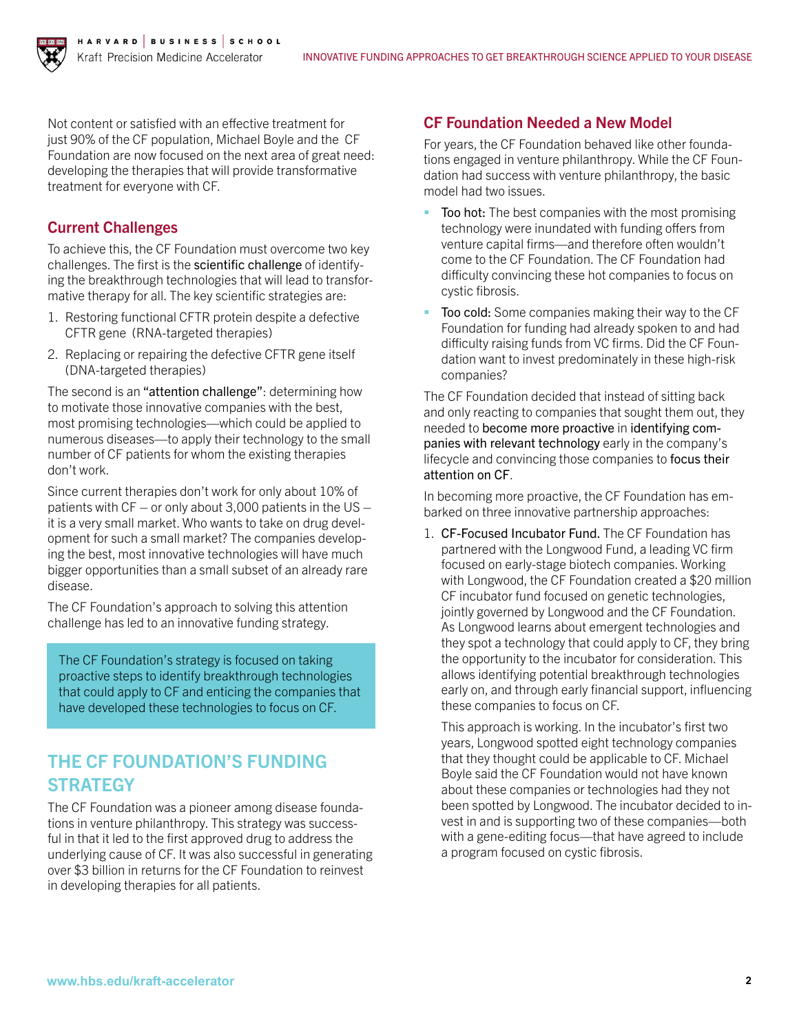

Not content or satisfied with an effective treatment for just 90% of the CF population, Michael Boyle and the CF Foundation are now focused on the next area of great need: developing the therapies that will provide transformative treatment for everyone with CF.

### Current Challenges

To achieve this, the CF Foundation must overcome two key challenges. The first is the scientific challenge of identifying the breakthrough technologies that will lead to transformative therapy for all. The key scientific strategies are:

- 1. Restoring functional CFTR protein despite a defective CFTR gene (RNA-targeted therapies)
- 2. Replacing or repairing the defective CFTR gene itself (DNA-targeted therapies)

The second is an "attention challenge": determining how to motivate those innovative companies with the best, most promising technologies—which could be applied to numerous diseases—to apply their technology to the small number of CF patients for whom the existing therapies don't work.

Since current therapies don't work for only about 10% of patients with CF – or only about 3,000 patients in the US – it is a very small market. Who wants to take on drug development for such a small market? The companies developing the best, most innovative technologies will have much bigger opportunities than a small subset of an already rare disease.

The CF Foundation's approach to solving this attention challenge has led to an innovative funding strategy.

The CF Foundation's strategy is focused on taking proactive steps to identify breakthrough technologies that could apply to CF and enticing the companies that have developed these technologies to focus on CF.

# THE CF FOUNDATION'S FUNDING **STRATEGY**

The CF Foundation was a pioneer among disease foundations in venture philanthropy. This strategy was successful in that it led to the first approved drug to address the underlying cause of CF. It was also successful in generating over \$3 billion in returns for the CF Foundation to reinvest in developing therapies for all patients.

### CF Foundation Needed a New Model

For years, the CF Foundation behaved like other foundations engaged in venture philanthropy. While the CF Foundation had success with venture philanthropy, the basic model had two issues.

- Too hot: The best companies with the most promising technology were inundated with funding offers from venture capital firms—and therefore often wouldn't come to the CF Foundation. The CF Foundation had difficulty convincing these hot companies to focus on cystic fibrosis.
- Too cold: Some companies making their way to the CF Foundation for funding had already spoken to and had difficulty raising funds from VC firms. Did the CF Foundation want to invest predominately in these high-risk companies?

The CF Foundation decided that instead of sitting back and only reacting to companies that sought them out, they needed to become more proactive in identifying companies with relevant technology early in the company's lifecycle and convincing those companies to focus their attention on CF.

In becoming more proactive, the CF Foundation has embarked on three innovative partnership approaches:

1. CF-Focused Incubator Fund. The CF Foundation has partnered with the Longwood Fund, a leading VC firm focused on early-stage biotech companies. Working with Longwood, the CF Foundation created a \$20 million CF incubator fund focused on genetic technologies, jointly governed by Longwood and the CF Foundation. As Longwood learns about emergent technologies and they spot a technology that could apply to CF, they bring the opportunity to the incubator for consideration. This allows identifying potential breakthrough technologies early on, and through early financial support, influencing these companies to focus on CF.

This approach is working. In the incubator's first two years, Longwood spotted eight technology companies that they thought could be applicable to CF. Michael Boyle said the CF Foundation would not have known about these companies or technologies had they not been spotted by Longwood. The incubator decided to invest in and is supporting two of these companies—both with a gene-editing focus—that have agreed to include a program focused on cystic fibrosis.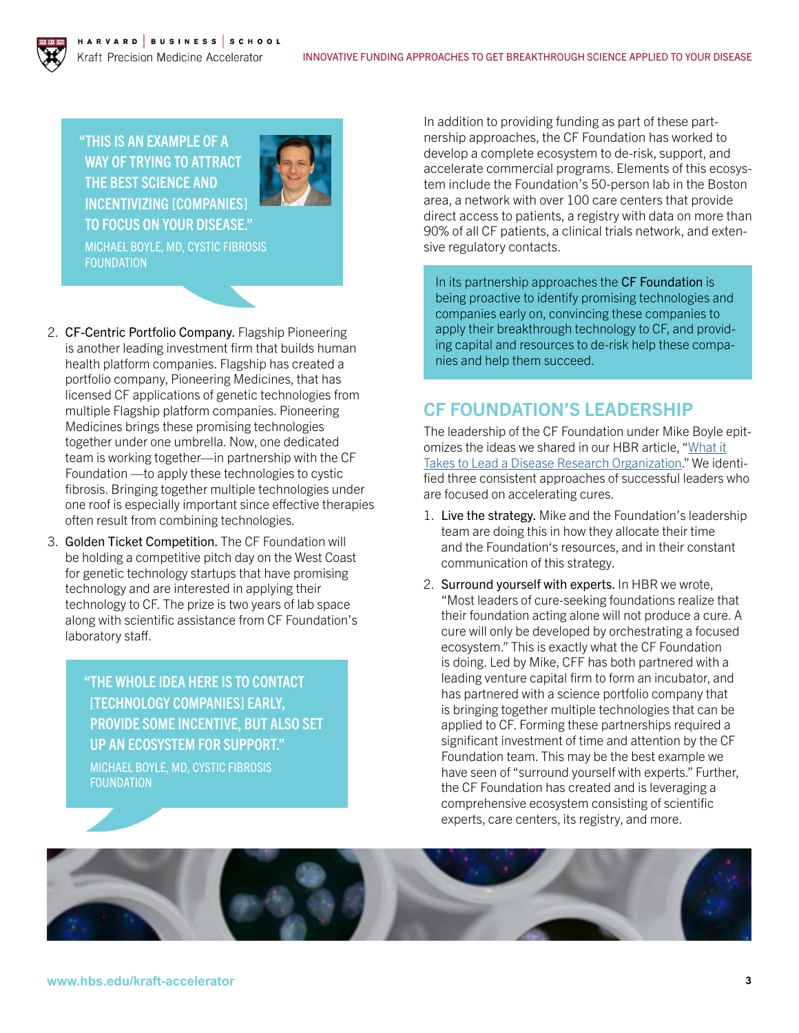"THIS IS AN EXAMPLE OF A WAY OF TRYING TO ATTRACT THE BEST SCIENCE AND INCENTIVIZING [COMPANIES] TO FOCUS ON YOUR DISEASE."



MICHAEL BOYLE, MD, CYSTIC FIBROSIS **FOUNDATION** 

- 2. CF-Centric Portfolio Company. Flagship Pioneering is another leading investment firm that builds human health platform companies. Flagship has created a portfolio company, Pioneering Medicines, that has licensed CF applications of genetic technologies from multiple Flagship platform companies. Pioneering Medicines brings these promising technologies together under one umbrella. Now, one dedicated team is working together—in partnership with the CF Foundation —to apply these technologies to cystic fibrosis. Bringing together multiple technologies under one roof is especially important since effective therapies often result from combining technologies.
- 3. Golden Ticket Competition. The CF Foundation will be holding a competitive pitch day on the West Coast for genetic technology startups that have promising technology and are interested in applying their technology to CF. The prize is two years of lab space along with scientific assistance from CF Foundation's laboratory staff.

"THE WHOLE IDEA HERE IS TO CONTACT [TECHNOLOGY COMPANIES] EARLY, PROVIDE SOME INCENTIVE, BUT ALSO SET UP AN ECOSYSTEM FOR SUPPORT."

MICHAEL BOYLE, MD, CYSTIC FIBROSIS FOUNDATION

In addition to providing funding as part of these partnership approaches, the CF Foundation has worked to develop a complete ecosystem to de-risk, support, and accelerate commercial programs. Elements of this ecosystem include the Foundation's 50-person lab in the Boston area, a network with over 100 care centers that provide direct access to patients, a registry with data on more than 90% of all CF patients, a clinical trials network, and extensive regulatory contacts.

In its partnership approaches the CF Foundation is being proactive to identify promising technologies and companies early on, convincing these companies to apply their breakthrough technology to CF, and providing capital and resources to de-risk help these companies and help them succeed.

## CF FOUNDATION'S LEADERSHIP

The leadership of the CF Foundation under Mike Boyle epitomizes the ideas we shared in our HBR article, ["What it](https://hbr.org/2020/08/what-it-takes-to-lead-a-disease-research-foundation?ab=at_art_art_1x1) [Takes to Lead a Disease Research Organization.](https://hbr.org/2020/08/what-it-takes-to-lead-a-disease-research-foundation?ab=at_art_art_1x1)" We identified three consistent approaches of successful leaders who are focused on accelerating cures.

- 1. Live the strategy. Mike and the Foundation's leadership team are doing this in how they allocate their time and the Foundation's resources, and in their constant communication of this strategy.
- 2. Surround yourself with experts. In HBR we wrote, "Most leaders of cure-seeking foundations realize that their foundation acting alone will not produce a cure. A cure will only be developed by orchestrating a focused ecosystem." This is exactly what the CF Foundation is doing. Led by Mike, CFF has both partnered with a leading venture capital firm to form an incubator, and has partnered with a science portfolio company that is bringing together multiple technologies that can be applied to CF. Forming these partnerships required a significant investment of time and attention by the CF Foundation team. This may be the best example we have seen of "surround yourself with experts." Further, the CF Foundation has created and is leveraging a comprehensive ecosystem consisting of scientific experts, care centers, its registry, and more.